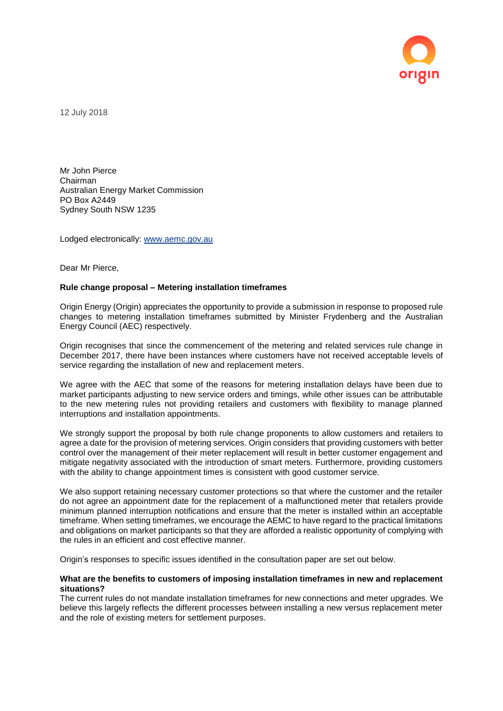

12 July 2018

Mr John Pierce Chairman Australian Energy Market Commission PO Box A2449 Sydney South NSW 1235

Lodged electronically: [www.aemc.gov.au](http://www.aemc.gov.au/)

Dear Mr Pierce,

## **Rule change proposal – Metering installation timeframes**

Origin Energy (Origin) appreciates the opportunity to provide a submission in response to proposed rule changes to metering installation timeframes submitted by Minister Frydenberg and the Australian Energy Council (AEC) respectively.

Origin recognises that since the commencement of the metering and related services rule change in December 2017, there have been instances where customers have not received acceptable levels of service regarding the installation of new and replacement meters.

We agree with the AEC that some of the reasons for metering installation delays have been due to market participants adjusting to new service orders and timings, while other issues can be attributable to the new metering rules not providing retailers and customers with flexibility to manage planned interruptions and installation appointments.

We strongly support the proposal by both rule change proponents to allow customers and retailers to agree a date for the provision of metering services. Origin considers that providing customers with better control over the management of their meter replacement will result in better customer engagement and mitigate negativity associated with the introduction of smart meters. Furthermore, providing customers with the ability to change appointment times is consistent with good customer service.

We also support retaining necessary customer protections so that where the customer and the retailer do not agree an appointment date for the replacement of a malfunctioned meter that retailers provide minimum planned interruption notifications and ensure that the meter is installed within an acceptable timeframe. When setting timeframes, we encourage the AEMC to have regard to the practical limitations and obligations on market participants so that they are afforded a realistic opportunity of complying with the rules in an efficient and cost effective manner.

Origin's responses to specific issues identified in the consultation paper are set out below.

# **What are the benefits to customers of imposing installation timeframes in new and replacement situations?**

The current rules do not mandate installation timeframes for new connections and meter upgrades. We believe this largely reflects the different processes between installing a new versus replacement meter and the role of existing meters for settlement purposes.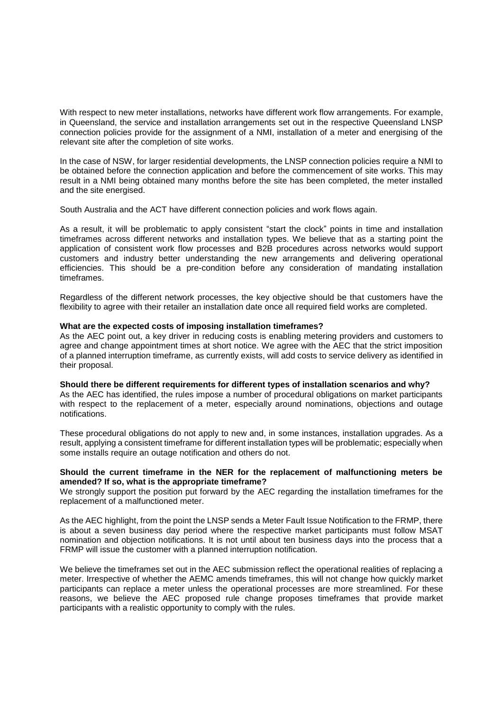With respect to new meter installations, networks have different work flow arrangements. For example, in Queensland, the service and installation arrangements set out in the respective Queensland LNSP connection policies provide for the assignment of a NMI, installation of a meter and energising of the relevant site after the completion of site works.

In the case of NSW, for larger residential developments, the LNSP connection policies require a NMI to be obtained before the connection application and before the commencement of site works. This may result in a NMI being obtained many months before the site has been completed, the meter installed and the site energised.

South Australia and the ACT have different connection policies and work flows again.

As a result, it will be problematic to apply consistent "start the clock" points in time and installation timeframes across different networks and installation types. We believe that as a starting point the application of consistent work flow processes and B2B procedures across networks would support customers and industry better understanding the new arrangements and delivering operational efficiencies. This should be a pre-condition before any consideration of mandating installation timeframes.

Regardless of the different network processes, the key objective should be that customers have the flexibility to agree with their retailer an installation date once all required field works are completed.

## **What are the expected costs of imposing installation timeframes?**

As the AEC point out, a key driver in reducing costs is enabling metering providers and customers to agree and change appointment times at short notice. We agree with the AEC that the strict imposition of a planned interruption timeframe, as currently exists, will add costs to service delivery as identified in their proposal.

#### **Should there be different requirements for different types of installation scenarios and why?**

As the AEC has identified, the rules impose a number of procedural obligations on market participants with respect to the replacement of a meter, especially around nominations, objections and outage notifications.

These procedural obligations do not apply to new and, in some instances, installation upgrades. As a result, applying a consistent timeframe for different installation types will be problematic; especially when some installs require an outage notification and others do not.

# **Should the current timeframe in the NER for the replacement of malfunctioning meters be amended? If so, what is the appropriate timeframe?**

We strongly support the position put forward by the AEC regarding the installation timeframes for the replacement of a malfunctioned meter.

As the AEC highlight, from the point the LNSP sends a Meter Fault Issue Notification to the FRMP, there is about a seven business day period where the respective market participants must follow MSAT nomination and objection notifications. It is not until about ten business days into the process that a FRMP will issue the customer with a planned interruption notification.

We believe the timeframes set out in the AEC submission reflect the operational realities of replacing a meter. Irrespective of whether the AEMC amends timeframes, this will not change how quickly market participants can replace a meter unless the operational processes are more streamlined. For these reasons, we believe the AEC proposed rule change proposes timeframes that provide market participants with a realistic opportunity to comply with the rules.